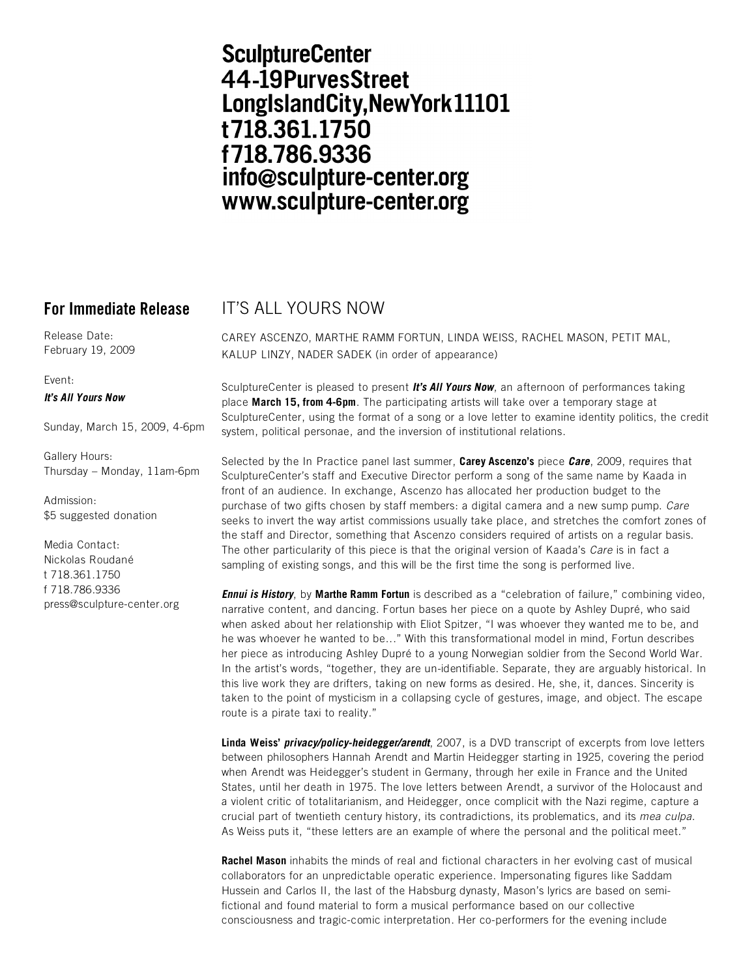# **SculptureCenter** 44-19PurvesStreet LongIslandCity, New York 11101 t718.361.1750 f718.786.9336 info@sculpture-center.org www.sculpture-center.org

Release Date: February 19, 2009

Event:

### *It's All Yours Now*

Sunday, March 15, 2009, 4-6pm

Gallery Hours: Thursday – Monday, 11am-6pm

Admission: \$5 suggested donation

Media Contact: Nickolas Roudané t 718.361.1750 f 718.786.9336 press@sculpture-center.org

## **For Immediate Release IT'S ALL YOURS NOW**

CAREY ASCENZO, MARTHE RAMM FORTUN, LINDA WEISS, RACHEL MASON, PETIT MAL, KALUP LINZY, NADER SADEK (in order of appearance)

SculptureCenter is pleased to present *It's All Yours Now*, an afternoon of performances taking place **March 15, from 4-6pm**. The participating artists will take over a temporary stage at SculptureCenter, using the format of a song or a love letter to examine identity politics, the credit system, political personae, and the inversion of institutional relations.

Selected by the In Practice panel last summer, **Carey Ascenzo's** piece *Care*, 2009, requires that SculptureCenter's staff and Executive Director perform a song of the same name by Kaada in front of an audience. In exchange, Ascenzo has allocated her production budget to the purchase of two gifts chosen by staff members: a digital camera and a new sump pump. *Care* seeks to invert the way artist commissions usually take place, and stretches the comfort zones of the staff and Director, something that Ascenzo considers required of artists on a regular basis. The other particularity of this piece is that the original version of Kaada's *Care* is in fact a sampling of existing songs, and this will be the first time the song is performed live.

*Ennui is History*, by **Marthe Ramm Fortun** is described as a "celebration of failure," combining video, narrative content, and dancing. Fortun bases her piece on a quote by Ashley Dupré, who said when asked about her relationship with Eliot Spitzer, "I was whoever they wanted me to be, and he was whoever he wanted to be..." With this transformational model in mind, Fortun describes her piece as introducing Ashley Dupré to a young Norwegian soldier from the Second World War. In the artist's words, "together, they are un-identifiable. Separate, they are arguably historical. In this live work they are drifters, taking on new forms as desired. He, she, it, dances. Sincerity is taken to the point of mysticism in a collapsing cycle of gestures, image, and object. The escape route is a pirate taxi to reality."

**Linda****Weiss'** *privacy/policy-heidegger/arendt*, 2007, is a DVD transcript of excerpts from love letters between philosophers Hannah Arendt and Martin Heidegger starting in 1925, covering the period when Arendt was Heidegger's student in Germany, through her exile in France and the United States, until her death in 1975. The love letters between Arendt, a survivor of the Holocaust and a violent critic of totalitarianism, and Heidegger, once complicit with the Nazi regime, capture a crucial part of twentieth century history, its contradictions, its problematics, and its *mea culpa*. As Weiss puts it, "these letters are an example of where the personal and the political meet."

**Rachel Mason** inhabits the minds of real and fictional characters in her evolving cast of musical collaborators for an unpredictable operatic experience. Impersonating figures like Saddam Hussein and Carlos II, the last of the Habsburg dynasty, Mason's lyrics are based on semifictional and found material to form a musical performance based on our collective consciousness and tragic-comic interpretation. Her co-performers for the evening include